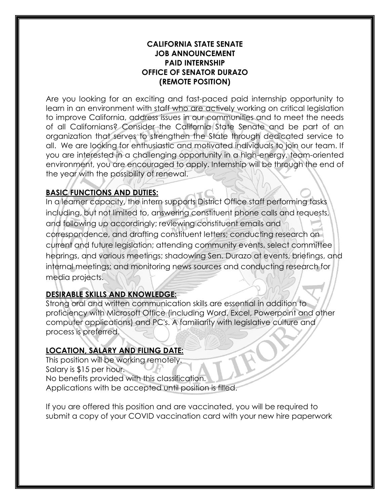#### **CALIFORNIA STATE SENATE JOB ANNOUNCEMENT PAID INTERNSHIP OFFICE OF SENATOR DURAZO (REMOTE POSITION)**

Are you looking for an exciting and fast-paced paid internship opportunity to learn in an environment with staff who are actively working on critical legislation to improve California, address issues in our communities and to meet the needs of all Californians? Consider the California State Senate and be part of an organization that serves to strengthen the State through dedicated service to all. We are looking for enthusiastic and motivated individuals to join our team. If you are interested in a challenging opportunity in a high-energy, team-oriented environment, you are encouraged to apply. Internship will be through the end of the year with the possibility of renewal.

## **BASIC FUNCTIONS AND DUTIES:**

In a learner capacity, the intern supports District Office staff performing tasks including, but not limited to, answering constituent phone calls and requests, and following up accordingly; reviewing constituent emails and correspondence, and drafting constituent letters; conducting research on current and future legislation; attending community events, select committee hearings, and various meetings; shadowing Sen. Durazo at events, briefings, and internal meetings; and monitoring news sources and conducting research for media projects.

# **DESIRABLE SKILLS AND KNOWLEDGE:**

Strong oral and written communication skills are essential in addition to proficiency with Microsoft Office (including Word, Excel, Powerpoint and other computer applications) and PC's. A familiarity with legislative culture and process is preferred.

### **LOCATION, SALARY AND FILING DATE:**

This position will be working remotely. Salary is \$15 per hour. No benefits provided with this classification. Applications with be accepted until position is filled.

If you are offered this position and are vaccinated, you will be required to submit a copy of your COVID vaccination card with your new hire paperwork